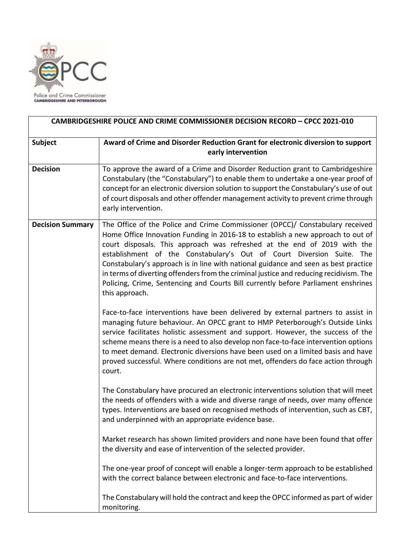

| <b>CAMBRIDGESHIRE POLICE AND CRIME COMMISSIONER DECISION RECORD - CPCC 2021-010</b> |                                                                                                                                                                                                                                                                                                                                                                                                                                                                                                                                                                                                               |
|-------------------------------------------------------------------------------------|---------------------------------------------------------------------------------------------------------------------------------------------------------------------------------------------------------------------------------------------------------------------------------------------------------------------------------------------------------------------------------------------------------------------------------------------------------------------------------------------------------------------------------------------------------------------------------------------------------------|
| Subject                                                                             | Award of Crime and Disorder Reduction Grant for electronic diversion to support<br>early intervention                                                                                                                                                                                                                                                                                                                                                                                                                                                                                                         |
| <b>Decision</b>                                                                     | To approve the award of a Crime and Disorder Reduction grant to Cambridgeshire<br>Constabulary (the "Constabulary") to enable them to undertake a one-year proof of<br>concept for an electronic diversion solution to support the Constabulary's use of out<br>of court disposals and other offender management activity to prevent crime through<br>early intervention.                                                                                                                                                                                                                                     |
| <b>Decision Summary</b>                                                             | The Office of the Police and Crime Commissioner (OPCC)/ Constabulary received<br>Home Office Innovation Funding in 2016-18 to establish a new approach to out of<br>court disposals. This approach was refreshed at the end of 2019 with the<br>establishment of the Constabulary's Out of Court Diversion Suite. The<br>Constabulary's approach is in line with national guidance and seen as best practice<br>in terms of diverting offenders from the criminal justice and reducing recidivism. The<br>Policing, Crime, Sentencing and Courts Bill currently before Parliament enshrines<br>this approach. |
|                                                                                     | Face-to-face interventions have been delivered by external partners to assist in<br>managing future behaviour. An OPCC grant to HMP Peterborough's Outside Links<br>service facilitates holistic assessment and support. However, the success of the<br>scheme means there is a need to also develop non face-to-face intervention options<br>to meet demand. Electronic diversions have been used on a limited basis and have<br>proved successful. Where conditions are not met, offenders do face action through<br>court.                                                                                 |
|                                                                                     | The Constabulary have procured an electronic interventions solution that will meet<br>the needs of offenders with a wide and diverse range of needs, over many offence<br>types. Interventions are based on recognised methods of intervention, such as CBT,<br>and underpinned with an appropriate evidence base.                                                                                                                                                                                                                                                                                            |
|                                                                                     | Market research has shown limited providers and none have been found that offer<br>the diversity and ease of intervention of the selected provider.                                                                                                                                                                                                                                                                                                                                                                                                                                                           |
|                                                                                     | The one-year proof of concept will enable a longer-term approach to be established<br>with the correct balance between electronic and face-to-face interventions.                                                                                                                                                                                                                                                                                                                                                                                                                                             |
|                                                                                     | The Constabulary will hold the contract and keep the OPCC informed as part of wider<br>monitoring.                                                                                                                                                                                                                                                                                                                                                                                                                                                                                                            |